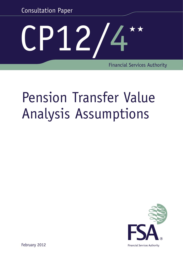Consultation Paper

# P12/4\*\*

Financial Services Authority

## Pension Transfer Value Analysis Assumptions



**Financial Services Authority** 

February 2012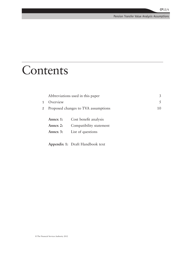## Contents

|             |                                     | Abbreviations used in this paper | 3  |
|-------------|-------------------------------------|----------------------------------|----|
| 1           | Overview                            |                                  | 5  |
| $2^{\circ}$ | Proposed changes to TVA assumptions |                                  | 10 |
|             |                                     |                                  |    |
|             | Annex 1:                            | Cost benefit analysis            |    |
|             | Annex 2:                            | Compatibility statement          |    |
|             | Annex 3:                            | List of questions                |    |
|             |                                     |                                  |    |
|             |                                     |                                  |    |

**Appendix 1:** Draft Handbook text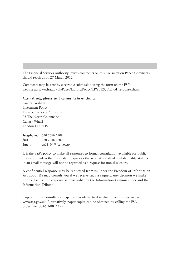The Financial Services Authority invites comments on this Consultation Paper. Comments should reach us by 27 March 2012.

Comments may be sent by electronic submission using the form on the FSA's website at: [www.fsa.gov.uk/Pages/Library/Policy/CP/2012/cp12\\_04\\_response.shtml](http://www.fsa.gov.uk/Pages/Library/Policy/CP/2012/cp12_04_response.shtml).

#### **Alternatively, please send comments in writing to:**

Sandra Graham Investment Policy Financial Services Authority 25 The North Colonnade Canary Wharf London E14 5HS

**Telephone:** 020 7066 1208 **Fax:** 020 7066 1209 **Email:** [cp12\\_04@fsa.gov.uk](mailto:cp12_04%40fsa.gov.uk?subject=)

It is the FSA's policy to make all responses to formal consultation available for public inspection unless the respondent requests otherwise. A standard confidentiality statement in an email message will not be regarded as a request for non-disclosure.

A confidential response may be requested from us under the Freedom of Information Act 2000. We may consult you if we receive such a request. Any decision we make not to disclose the response is reviewable by the Information Commissioner and the Information Tribunal.

Copies of this Consultation Paper are available to download from our website – [www.fsa.gov.uk.](www.fsa.gov.uk) Alternatively, paper copies can be obtained by calling the FSA order line: 0845 608 2372.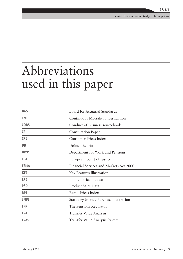## Abbreviations used in this paper

| <b>BAS</b>  | Board for Actuarial Standards                |
|-------------|----------------------------------------------|
| <b>CMI</b>  | Continuous Mortality Investigation           |
| <b>COBS</b> | Conduct of Business sourcebook               |
| CP          | <b>Consultation Paper</b>                    |
| <b>CPI</b>  | <b>Consumer Prices Index</b>                 |
| <b>DB</b>   | Defined Benefit                              |
| <b>DWP</b>  | Department for Work and Pensions             |
| <b>ECJ</b>  | European Court of Justice                    |
| <b>FSMA</b> | Financial Services and Markets Act 2000      |
| <b>KFI</b>  | Key Features Illustration                    |
| <b>LPI</b>  | Limited Price Indexation                     |
| <b>PSD</b>  | <b>Product Sales Data</b>                    |
| <b>RPI</b>  | Retail Prices Index                          |
| <b>SMPI</b> | <b>Statutory Money Purchase Illustration</b> |
| <b>TPR</b>  | The Pensions Regulator                       |
| <b>TVA</b>  | <b>Transfer Value Analysis</b>               |
| <b>TVAS</b> | Transfer Value Analysis System               |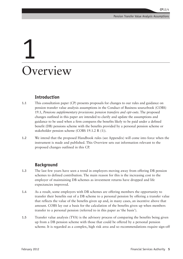## 1 Overview

#### **Introduction**

- **1.1** This consultation paper (CP) presents proposals for changes to our rules and guidance on pension transfer value analysis assumptions in the Conduct of Business sourcebook (COBS) 19.1, *Pensions supplementary provisions: pension transfers and opt-outs*. The proposed changes outlined in this paper are intended to clarify and update the assumptions and guidance to be used when a firm compares the benefits likely to be paid under a defined benefit (DB) pensions scheme with the benefits provided by a personal pension scheme or stakeholder pension scheme (COBS 19.1.2 R (1)).
- **1.2** We intend that the proposed Handbook rules (see Appendix) will come into force when the instrument is made and published. This Overview sets out information relevant to the proposed changes outlined in this CP.

#### **Background**

- **1.3** The last few years have seen a trend in employers moving away from offering DB pension schemes to defined contribution. The main reason for this is the increasing cost to the employer of maintaining DB schemes as investment returns have dropped and life expectancies improved.
- **1.4** As a result, some employers with DB schemes are offering members the opportunity to transfer their benefits out of a DB scheme to a personal pension by offering a transfer value that reflects the value of the benefits given up and, in many cases, an incentive above that amount. COBS lay out a basis for the calculation of the benefits given up when members transfer to a personal pension (referred to in this paper as 'the basis').
- **1.5** Transfer value analysis (TVA) is the advisory process of comparing the benefits being given up from a DB pension scheme with those that could be offered by a personal pension scheme. It is regarded as a complex, high risk area and so recommendations require sign-off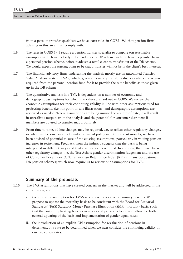from a pension transfer specialist: we have extra rules in COBS 19.1 that pension firms advising in this area must comply with.

- **1.6** The rules in COBS 19.1 require a pension transfer specialist to compare (on reasonable assumptions) the benefits likely to be paid under a DB scheme with the benefits possible from a personal pension scheme, before it advises a retail client to transfer out of the DB scheme. We would expect the starting point to be that a transfer will not be in the client's best interests.
- **1.7** The financial advisory firms undertaking the analysis mostly use an automated Transfer Value Analysis System (TVAS) which, given a monetary transfer value, calculates the return required from the personal pension fund for it to provide the same benefits as those given up in the DB scheme.
- **1.8** The quantitative analysis in a TVA is dependent on a number of economic and demographic assumptions for which the values are laid out in COBS. We review the economic assumptions for their continuing validity in line with other assumptions used for projecting benefits (i.e. for point of sale illustrations) and demographic assumptions are reviewed as needed. Where assumptions are being misused or are out of date, it will result in unrealistic outputs from the analysis and the potential for consumer detriment if members are advised to transfer inappropriately.
- **1.9** From time to time, ad hoc changes may be required, e.g. to reflect other regulatory changes, or where we become aware of market abuse of policy intent. In recent months, we have been advised of potential misuse of the existing assumptions, particularly in valuing pension increases in retirement. Feedback from the industry suggests that the basis is being interpreted in different ways and that clarification is required. In addition, there have been other regulatory changes (i.e. the Test Achats gender discrimination judgement and the use of Consumer Price Index (CPI) rather than Retail Price Index (RPI) in many occupational DB pension schemes) which now require us to review our assumptions for TVA.

#### **Summary of the proposals**

- **1.10** The TVA assumptions that have created concern in the market and will be addressed in the consultation, are:
	- i. the mortality assumption for TVAS when placing a value on annuity benefits. We propose to update the mortality basis to be consistent with the Board for Actuarial Standards' (BAS) Statutory Money Purchase Illustration (SMPI) mortality basis, such that the cost of replicating benefits in a personal pension scheme will allow for both general updating of the basis and implementation of gender equal rates;
	- ii. the introduction of an explicit CPI assumption for revaluation of pensions in deferment, at a rate to be determined when we next consider the continuing validity of our projection rates;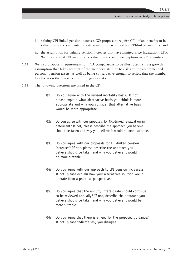- iii. valuing CPI-linked pension increases. We propose to require CPI-linked benefits to be valued using the same interest rate assumption as is used for RPI-linked annuities; and
- iv. the assumption for valuing pension increases that have Limited Price Indexation (LPI). We propose that LPI annuities be valued on the same assumptions as RPI annuities.
- **1.11** We also propose a requirement for TVA comparisons to be illustrated using a growth assumption that takes account of the member's attitude to risk and the recommended personal pension assets, as well as being conservative enough to reflect that the member has taken on the investment and longevity risks.
- **1.12** The following questions are asked in the CP:
	- **Q1:** Do you agree with the revised mortality basis? If not, please explain what alternative basis you think is more appropriate and why you consider that alternative basis would be more appropriate.
	- **Q2:** Do you agree with our proposals for CPI-linked revaluation in deferment? If not, please describe the approach you believe should be taken and why you believe it would be more suitable.
	- **Q3:** Do you agree with our proposals for CPI-linked pension increases? If not, please describe the approach you believe should be taken and why you believe it would be more suitable.
	- **Q4:** Do you agree with our approach to LPI pension increases? If not, please explain how your alternative solution would operate from a practical perspective.
	- **Q5:** Do you agree that the annuity interest rate should continue to be reviewed annually? If not, describe the approach you believe should be taken and why you believe it would be more suitable.
	- **Q6:** Do you agree that there is a need for the proposed guidance? If not, please indicate why you disagree.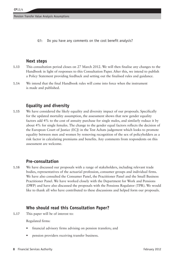**Q7:** Do you have any comments on the cost benefit analysis?

#### **Next steps**

- **1.13** This consultation period closes on 27 March 2012. We will then finalise any changes to the Handbook in light of responses to this Consultation Paper. After this, we intend to publish a Policy Statement providing feedback and setting out the finalised rules and guidance.
- **1.14** We intend that the final Handbook rules will come into force when the instrument is made and published.

#### **Equality and diversity**

**1.15** We have considered the likely equality and diversity impact of our proposals. Specifically for the updated mortality assumption, the assessment shows that new gender equality factors add 4% to the cost of annuity purchase for single males, and similarly reduce it by about 4% for single females. The change to the gender equal factors reflects the decision of the European Court of Justice (ECJ) in the Test Achats judgement which looks to promote equality between men and women by removing recognition of the sex of policyholders as a risk factor in calculating premiums and benefits. Any comments from respondents on this assessment are welcome.

#### **Pre-consultation**

**1.16** We have discussed our proposals with a range of stakeholders, including relevant trade bodies, representatives of the actuarial profession, consumer groups and individual firms. We have also consulted the Consumer Panel, the Practitioner Panel and the Small Business Practitioner Panel. We have worked closely with the Department for Work and Pensions (DWP) and have also discussed the proposals with the Pensions Regulator (TPR). We would like to thank all who have contributed to these discussions and helped form our proposals.

#### **Who should read this Consultation Paper?**

**1.17** This paper will be of interest to:

Regulated firms:

- financial advisory firms advising on pension transfers; and
- pension providers receiving transfer business.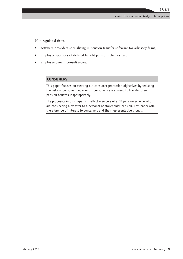Non-regulated firms:

- software providers specialising in pension transfer software for advisory firms;
- employer sponsors of defined benefit pension schemes; and
- employee benefit consultancies.

#### **CONSUMERS**

This paper focuses on meeting our consumer protection objectives by reducing the risks of consumer detriment if consumers are advised to transfer their pension benefits inappropriately.

The proposals in this paper will affect members of a DB pension scheme who are considering a transfer to a personal or stakeholder pension. This paper will, therefore, be of interest to consumers and their representative groups.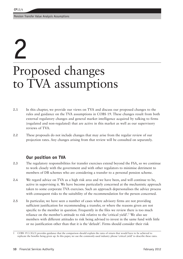Pension Transfer Value Analysis Assumptions

## 2

## Proposed changes to TVA assumptions

- **2.1** In this chapter, we provide our views on TVA and discuss our proposed changes to the rules and guidance on the TVA assumptions in COBS 19. These changes result from both external regulatory changes and general market intelligence acquired by talking to firms (regulated and non-regulated) that are active in this market as well as our supervisory reviews of TVA.
- **2.2** These proposals do not include changes that may arise from the regular review of our projection rates. Any changes arising from that review will be consulted on separately.

#### **Our position on TVA**

- **2.3** The regulatory responsibilities for transfer exercises extend beyond the FSA, so we continue to work closely with the government and with other regulators to minimise detriment to members of DB schemes who are considering a transfer to a personal pension scheme.
- **2.4** We regard advice on TVA as a high risk area and we have been, and will continue to be, active in supervising it. We have become particularly concerned at the mechanistic approach taken to some corporate TVA exercises. Such an approach depersonalises the advice process with consequent risks to the suitability of the recommendation for the person concerned.
- **2.5** In particular, we have seen a number of cases where advisory firms are not providing sufficient justification for recommending a transfer, or where the reasons given are not specific to the member in question. Frequently in the files we review there is too much reliance on the member's attitude to risk relative to the 'critical yield'.<sup>1</sup> We also see members with different attitudes to risk being advised to invest in the same fund with little or no justification other than that it is the 'default'. Firms should consider their risk

<sup>1</sup> COBS 19.3.3G(3) provides guidance that the comparison should explain the rates of return that would have to be achieved to replicate the benefits being given up. In this paper, we use the commonly-used industry phrase 'critical yield' to describe these rates.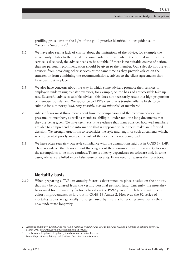profiling procedures in the light of the good practice identified in our guidance on 'Assessing Suitability'.2

- **2.6** We have also seen a lack of clarity about the limitations of the advice, for example the advice only relates to the transfer recommendation. Even where the limited nature of the service is disclosed, the advice needs to be suitable. If there is no suitable course of action, then no personal recommendation should be given to the member. Our rules do not prevent advisers from providing other services at the same time as they provide advice on the transfer, or from combining the recommendations, subject to the client agreements that have been put in place.
- **2.7** We also have concerns about the way in which some advisers promote their services to employers undertaking transfer exercises, for example, on the basis of a 'successful' take-up rate. Successful advice is suitable advice – this does not necessarily result in a high proportion of members transferring. We subscribe to TPR's view that a transfer offer is likely to be suitable for a minority '*and, very possibly, a small minority*' of members.3
- **2.8** Adviser firms must think more about how the comparison and the recommendation are presented to members, as well as members' ability to understand the long documents that they are being given. We have seen very little evidence that firms consider how well members are able to comprehend the information that is supposed to help them make an informed decision. We strongly urge firms to reconsider the style and length of such documents which, when presented poorly, increase the risk of the documents not being read.
- **2.9** We have often seen tick-box style compliance with the assumptions laid out in COBS 19 1.4R. There is evidence that firms are not thinking about these assumptions or their ability to vary the assumptions to be more cautious. There is a heavy dependence on software and, in some cases, advisers are lulled into a false sense of security. Firms need to reassess their practices.

#### **Mortality basis**

**2.10** When preparing a TVA, an annuity factor is determined to place a value on the annuity that may be purchased from the vesting personal pension fund. Currently, the mortality basis used for the annuity factor is based on the PA92 year of birth tables with medium cohort improvements, as laid out in COBS 13 Annex 2. However, the 92 series of mortality tables are generally no longer used by insurers for pricing annuities as they now understate longevity.

<sup>2</sup> *Assessing Suitability: Establishing the risk a customer is willing and able to take and making a suitable investment selection*, March 2011 ([www.fsa.gov.uk/pubs/guidance/fg11\\_05.pdf\)](http://www.fsa.gov.uk/pubs/guidance/fg11_05.pdf)

<sup>3</sup> The Pensions Regulator: Regulatory Guidance on Incentive Exercise ([www.thepensionregulator.gov.uk/guidance/incentive- exercises.aspx](http://www.thepensionregulator.gov.uk/guidance/incentive- exercises.aspx))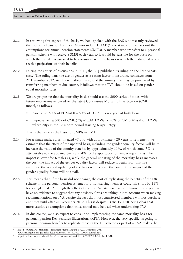- **2.11** In reviewing this aspect of the basis, we have spoken with the BAS who recently reviewed the mortality basis for Technical Memorandum  $1$   $(TM1)<sup>4</sup>$ , the standard that lays out the assumptions for annual pension statements (SMPIs). A member who transfers to a personal pension scheme will receive a SMPI each year, so it would be sensible for the basis on which the transfer is assessed to be consistent with the basis on which the individual would receive projections of their benefits.
- **2.12** During the course of discussions in 2011, the ECJ published its ruling on the Test Achats case.<sup>5</sup> The ruling bans the use of gender as a rating factor in insurance contracts from 21 December 2012. As this will affect the cost of the annuity that may be purchased by transferring members in due course, it follows that the TVA should be based on gender equal mortality rates.
- **2.13** We are proposing that the mortality basis should use the 2000 series of tables with future improvements based on the latest Continuous Mortality Investigation (CMI) model, as follows:
	- Base table:  $50\%$  of PCMA00 +  $50\%$  of PCFA00, on a year of birth basis;
	- Improvements: 50% of CMI\_(20yy-1)\_M[1.25%] + 50% of CMI\_(20yy-1)\_F[1.25%] where 20yy is the 12 month period starting 6 April 20yy.

This is the same as the basis for SMPIs in TM1.

- **2.14** For a single male, currently aged 45 and with approximately 20 years to retirement, we estimate that the effect of the updated basis, including the gender equality factor, will be to increase the value of the annuity benefits by approximately 11%, of which some 7% is attributable to the updated basis and 4% to the application of gender equal rates. The impact is lower for females as, while the general updating of the mortality basis increases the cost, the impact of the gender equality factor will reduce it again. For joint life annuities, the general updating of the basis will increase the cost but the impact of the gender equality factor will be small.
- **2.15** This means that, if the basis did not change, the cost of replicating the benefits of the DB scheme in the personal pension scheme for a transferring member could fall short by 11% for a single male. Although the effect of the Test Achats case has been known for a year, we have no evidence to suggest that any advisory firms are taking it into account when making recommendations on TVA despite the fact that most transferred members will not purchase annuities until after 21 December 2012. This is despite COBS 19.1.4R being clear that more cautious assumptions than those stated may be used when undertaking TVA.
- **2.16** In due course, we also expect to consult on implementing the same mortality basis for personal pension Key Features Illustrations (KFIs). However, the very specific targeting of personal pension benefits to replicate those in the DB scheme as part of a TVA makes the

<sup>4</sup> Board for Actuarial Standards, Technical Memorandum 1 v2.0, December 2011

[<sup>\(</sup>www.frc.org.uk/images/uploaded/documents/TM1%20v2%200%20final.pdf](http://www.frc.org.uk/images/uploaded/documents/TM1%20v2%200%20final.pdf))

<sup>5</sup> <http://eur-lex.europa.eu/LexUriServ/LexUriServ.do?uri=CELEX:62009CJ0236:EN:HTML>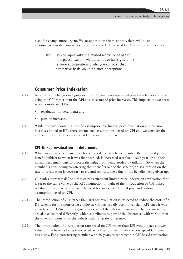need for change more urgent. We accept that, in the meantime, there will be an inconsistency in the comparison report and the KFI received by the transferring member.

**Q1:** Do you agree with the revised mortality basis? If not, please explain what alternative basis you think is more appropriate and why you consider that alternative basis would be more appropriate.

#### **Consumer Price Indexation**

- **2.17** As a result of changes in legislation in 2011, many occupational pension schemes are now using the CPI rather than the RPI as a measure of price increases. This impacts in two areas when considering TVA:
	- revaluation in deferment; and
	- pension increases.
- **2.18** While our rules contain a specific assumption for limited price revaluation and pension increases linked to RPI, there are no such assumptions based on CPI and we consider the implication of introducing explicit CPI assumptions here.

#### **CPI-linked revaluation in deferment**

- **2.19** When an active scheme member becomes a deferred scheme member, their accrued pension benefit (subject to when it was first accrued) is increased (revalued) each year up to their normal retirement date to protect the value from being eroded by inflation. So when the member is considering transferring their benefits out of the scheme, an assumption on the rate of revaluation is necessary to try and replicate the value of the benefits being given up.
- **2.20** Our rules currently define a rate of pre-retirement limited price indexation revaluation that is set to the same value as the RPI assumption. In light of the introduction of CPI-linked revaluation, we have considered the need for an explicit limited price indexation assumption based on CPI.
- **2.21** The introduction of CPI rather than RPI for revaluation is expected to reduce the costs of a DB scheme for the sponsoring employer. CPI has usually been lower than RPI since it was introduced in 1996 and it is generally expected that this will continue. The two measures are also calculated differently, which contributes to part of the difference, with variation in the other components of the indices making up the difference.
- **2.22** The introduction of a revaluation rate based on CPI rather than RPI would place a lower value on the benefits being transferred, which is consistent with the concept of CPI being less costly. For a transferring member with 20 years to retirement, a CPI-based revaluation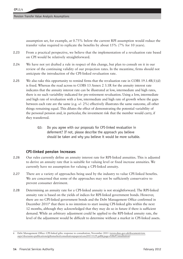assumption set, for example, at 0.75% below the current RPI assumption would reduce the transfer value required to replicate the benefits by about 15% (7% for 10 years).

- **2.23** From a practical perspective, we believe that the implementation of a revaluation rate based on CPI would be relatively straightforward.
- **2.24** We have not yet drafted a rule in respect of this change, but plan to consult on it in our review of the continuing validity of our projection rates. In the meantime, firms should not anticipate the introduction of the CPI-linked revaluation rate.
- **2.25** We also take this opportunity to remind firms that the revaluation rate in COBS 19.1.4R(1)(d) is fixed. Whereas the read across to COBS 13 Annex 2 3.1R for the annuity interest rate indicates that the annuity interest rate can be illustrated at low, intermediate and high rates, there is no such variability indicated for pre-retirement revaluation. Using a low, intermediate and high rate of revaluation with a low, intermediate and high rate of growth where the gaps between each rate are the same (e.g. +/- 2%) effectively illustrates the same outcome, all other things remaining equal. This dilutes the effect of demonstrating the potential variability of the personal pension and, in particular, the investment risk that the member would carry, if they transferred.
	- **Q2:** Do you agree with our proposals for CPI-linked revaluation in deferment? If not, please describe the approach you believe should be taken and why you believe it would be more suitable.

#### **CPI-linked pension increases**

- **2.26** Our rules currently define an annuity interest rate for RPI-linked annuities. This is adjusted to derive an annuity rate that is suitable for valuing level or fixed increase annuities. We currently have no assumption for valuing a CPI-linked annuity.
- **2.27** There are a variety of approaches being used by the industry to value CPI-linked benefits. We are concerned that some of the approaches may not be sufficiently conservative to prevent consumer detriment.
- **2.28** Determining an annuity rate for a CPI-linked annuity is not straightforward. The RPI-linked annuity rate is based on the yields of indices for RPI-linked government bonds. However, there are no CPI-linked government bonds and the Debt Management Office confirmed in December 2011<sup>6</sup> that there is no intention to start issuing CPI-linked gilts within the next 12 months, although they acknowledged that they may do so in future if there is sufficient demand. While an arbitrary adjustment could be applied to the RPI-linked annuity rate, the level of the adjustment would be difficult to determine without a market in CPI-linked assets.

<sup>6</sup> Debt Management Office: CPI-linked gilts: response to consultation, November 2011 ([www.dmo.gov.uk/documentview.](http://www.dmo.gov.uk/documentview.aspx?docname=publications/giltsmarket/consultationpapers/cons20111129.pdf&page=Gilts/Consultation) [aspx?docname=publications/giltsmarket/consultationpapers/cons20111129.pdf&page=Gilts/Consultation](http://www.dmo.gov.uk/documentview.aspx?docname=publications/giltsmarket/consultationpapers/cons20111129.pdf&page=Gilts/Consultation))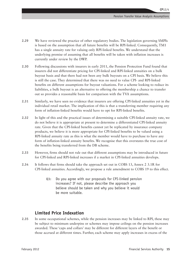**CP**12/4

- **2.29** We have reviewed the practice of other regulatory bodies. The legislation governing SMPIs is based on the assumption that all future benefits will be RPI-linked. Consequently, TM1 has a single annuity rate for valuing only RPI-linked benefits. We understand that the underlying premise of assuming that all benefits will be taken with inflation increases is currently under review by the DWP.
- **2.30** Following discussions with insurers in early 2011, the Pension Protection Fund found that insurers did not differentiate pricing for CPI-linked and RPI-linked annuities on a bulk buyout basis and that there had not been any bulk buyouts on a CPI basis. We believe this is still the case. They determined that there was no need to value CPI- and RPI-linked benefits on different assumptions for buyout valuations. For a scheme looking to reduce its liabilities, a bulk buyout is an alternative to offering the membership a chance to transfer out so provides a reasonable basis for comparison with the TVA assumptions.
- **2.31** Similarly, we have seen no evidence that insurers are offering CPI-linked annuities yet in the individual retail market. The implication of this is that a transferring member requiring any form of inflation-linked benefits would have to opt for RPI-linked benefits.
- **2.32** In light of this and the practical issues of determining a suitable CPI-linked annuity rate, we do not believe it is appropriate at present to determine a differentiated CPI-linked annuity rate. Given that the CPI-linked benefits cannot yet be replicated by insurance company products, we believe it is more appropriate for CPI-linked benefits to be valued using a RPI-linked annuity rate as this is what the member would have to purchase to have any form of inflation-linked annuity benefits. We recognise that this overstates the true cost of the benefits being transferred from the DB scheme.
- **2.33** However, firms should not rule out that different assumptions may be introduced in future for CPI-linked and RPI-linked increases if a market in CPI-linked annuities develops.
- **2.34** It follows that firms should take the approach set out in COBS 13, Annex 2 3.1R for CPI-linked annuities. Accordingly, we propose a rule amendment to COBS 19 to this effect.
	- **Q3:** Do you agree with our proposals for CPI-linked pension increases? If not, please describe the approach you believe should be taken and why you believe it would be more suitable.

#### **Limited Price Indexation**

**2.35** In some occupational schemes, while the pension increases may be linked to RPI, these may be subject to minimum underpins or schemes may impose ceilings on the pension increases awarded. These 'caps and collars' may be different for different layers of the benefit or those accrued at different times. Further, each scheme may apply increases in excess of the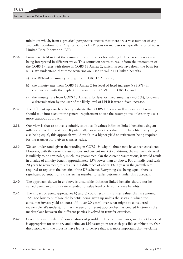minimum which, from a practical perspective, means that there are a vast number of cap and collar combinations. Any restriction of RPI pension increases is typically referred to as Limited Price Indexation (LPI).

- **2.36** Firms have told us that the assumptions in the rules for valuing LPI pension increases are being interpreted in different ways. This confusion seems to result from the interaction of the COBS 19 rules with those in COBS 13 Annex 2, which largely lays down the basis for KFIs. We understand that three scenarios are used to value LPI-linked benefits:
	- a) the RPI-linked annuity rate, *y,* from COBS 13 Annex 2;
	- b) the annuity rate from COBS 13 Annex 2 for level of fixed increase  $(y+3.5\%)$  in conjunction with the explicit LPI assumption (2.5%) in COBS 19; and
	- c) the annuity rate from COBS 13 Annex 2 for level or fixed annuities  $(y+3.5\%)$ , following a determination by the user of the likely level of LPI if it were a fixed increase.
- **2.37** The different approaches clearly indicate that COBS 19 is not well understood. Firms should take into account the general requirement to use the assumptions unless they use a more cautious approach.
- **2.38** Our view is that a) above is suitably cautious. It values inflation-linked benefits using an inflation-linked interest rate. It potentially overstates the value of the benefits. Everything else being equal, this approach would result in a higher yield to retirement being required for the transfer for a given transfer value.
- **2.39** We can understand, given the wording in COBS 19, why b) above may have been considered. However, with the current assumptions and current market conditions, the real yield derived is unlikely to be attainable, much less guaranteed. On the current assumptions, it would result in a value of annuity benefit approximately 15% lower than a) above. For an individual with 20 years to retirement, this results in a difference of about 1% a year in the growth rate required to replicate the benefits of the DB scheme. Everything else being equal, there is significant potential for a transferring member to suffer detriment under this approach.
- **2.40** The approach shown in c) above is unsuitable. Inflation-linked benefits should not be valued using an annuity rate intended to value level or fixed increase benefits.
- **2.41** The impact of using approaches b) and c) could result in transfer values that are around 15% too low to purchase the benefits being given up unless the assets in which the consumer invests yield an extra 1% (over 20 years) over what might be considered reasonable. We understand that the use of different approaches has created friction in the marketplace between the different parties involved in transfer exercises.
- **2.42** Given the vast number of combinations of possible LPI pension increases, we do not believe it is appropriate for us to try and define an LPI assumption for each possible combination. Our discussions with the industry have led us to believe that it is more important that we clarify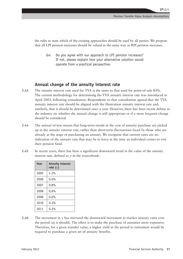the rules to state which of the existing approaches should be used by all parties. We propose that all LPI pension increases should be valued in the same way as RPI pension increases.

**Q4:** Do you agree with our approach to LPI pension increases? If not, please explain how your alternative solution would operate from a practical perspective.

#### **Annual change of the annuity interest rate**

- **2.43** The annuity interest rate used for TVA is the same as that used for point-of-sale KFIs. The current methodology for determining the TVA annuity interest rate was introduced in April 2003, following consultation. Respondents to that consultation agreed that the TVA annuity interest rate should be aligned with the illustration annuity interest rate and, similarly, that it should be determined once a year. However, there has been recent debate in the industry on whether the annual change is still appropriate or if a more frequent change should be considered.
- **2.44** The annual review means that long-term trends in the cost of annuity purchase are picked up in the annuity interest rate, rather than short-term fluctuations faced by those who are already at the stage of purchasing an annuity. We recognise that current rates are no indication of the annuity rate that may be in force at the time an individual comes to vest their pension fund.
- **2.45** In recent years, there has been a significant downward trend in the value of the annuity interest rate, defined as *y* in the sourcebook:

| Year | <b>Annuity interest</b><br>rate $(y)$ |
|------|---------------------------------------|
| 2005 | 1.2%                                  |
| 2006 | 0.6%                                  |
| 2007 | 0.8%                                  |
| 2008 | 0.6%                                  |
| 2009 | 0.6%                                  |
| 2010 | 0.4%                                  |
| 2011 | 0.2%                                  |

**2.46** The movement in *y* has mirrored the downward movement in market annuity rates over the period (as it should). The effect is to make the purchase of annuities more expensive. Therefore, for a given transfer value, a higher yield in the period to retirement would be required to purchase a given set of annuity benefits.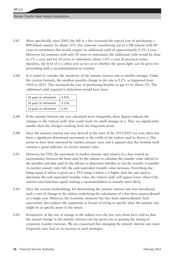- **2.47** More specifically, since 2005, the fall in *y* has increased the typical cost of purchasing a RPI-linked annuity by about 15%. For someone transferring out of a DB scheme with 40 years to retirement, this would require an additional yield of approximately 0.3% a year. However, for someone with only 20 years to retirement, the additional yield would be close to 1% a year and for 10 years to retirement, about 1.4% a year. In practical terms, therefore, the level of  $\nu$  is often seen as key as to whether the 'green light' can be given for proceeding with a recommendation to transfer.
- **2.48** It is useful to consider the sensitivity of the annuity interest rate to smaller changes. Under the current formula, the smallest possible change in the rate is 0.2% as happened from 2010 to 2011. This increased the cost of purchasing benefits at age 65 by about 3%. The additional yield required in deferment would have been:

| 40 years to retirement | $0.07\%$ |
|------------------------|----------|
| 20 years to retirement | 0.15%    |
| 10 years to retirement | 0.3%     |

- **2.49** If the annuity interest rate was calculated more frequently, these figures indicate the changes in the 'critical yield' that could result for small changes in *y*. They are significantly smaller than the changes resulting from the long-term trend.
- **2.50** Since the annuity interest rate was derived at the start of the 2011/2012 tax year, there has been a significant downward movement in the yields of the indices used to derive *y.* This seems to have been mirrored by market annuity rates and it appears that the formula itself remains a good indicator of current annuity rates.
- **2.51** However, for TVA, the movement in market annuity rates relative to *y* has created an inconsistency between the basis used by the scheme to calculate the transfer value offered to the member and that used by the adviser to determine whether or not the transfer is suitable. As market annuity rates fall, the cash equivalent transfer value increases. Everything else being equal, if advice is given on a TVA using *y* where *y* is higher than the rate used to determine the cash equivalent transfer value, the 'critical yield' will appear lower (than if the interest rates had been equal) making a recommendation to transfer more likely.
- **2.52** Since the current methodology for determining the annuity interest rate was introduced, such a rate of change in the indices underlying the calculation of  $\gamma$  has been unprecedented in a single year. However, the economic situation has also been unprecedented. Such uncertainty also reduces the arguments in favour of trying to specify what the annuity rate might be at specific point in the future.
- **2.53** Irrespective of the rate of change in the indices over the last year, firms have told us that the annual change in the annuity interest rate has given rise to gaming the timing of corporate transfer exercises. We are concerned that changing the annuity interest rate more frequently may lead to an increase in such strategies.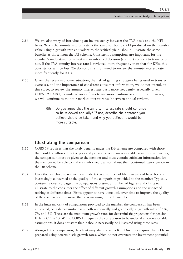**CP**12/4

- **2.54** We are also wary of introducing an inconsistency between the TVA basis and the KFI basis. When the annuity interest rate is the same for both, a KFI produced on the transfer value using a growth rate equivalent to the 'critical yield' should illustrate the same benefits as those from the DB scheme. Consistent assumptions are important for the member's understanding in making an informed decision (see next section) to transfer or not. If the TVA annuity interest rate is reviewed more frequently than that for KFIs, this consistency will be lost. We do not currently intend to review the annuity interest rate more frequently for KFIs.
- **2.55** Given the recent economic situation, the risk of gaming strategies being used in transfer exercises, and the importance of consistent consumer information, we do not intend, at this stage, to review the annuity interest rate basis more frequently, especially given COBS 19.1.4R(1) permits advisory firms to use more cautious assumptions. However, we will continue to monitor market interest rates inbetween annual reviews.
	- **Q5:** Do you agree that the annuity interest rate should continue to be reviewed annually? If not, describe the approach you believe should be taken and why you believe it would be more suitable.

#### **Illustrating the comparison**

- **2.56** COBS 19 requires that the likely benefits under the DB scheme are compared with those that could be afforded by the personal pension scheme on reasonable assumptions. Further, the comparison must be given to the member and must contain sufficient information for the member to be able to make an informed decision about their continued participation in the DB scheme.
- **2.57** Over the last three years, we have undertaken a number of file reviews and have become increasingly concerned at the quality of the comparison provided to the member. Typically containing over 20 pages, the comparisons present a number of figures and charts to illustrate to the consumer the effect of different growth assumptions and the impact of retiring at different times. Firms appear to have done little over time to improve the quality of the comparison to ensure that it is meaningful to the member.
- **2.58** In the huge majority of comparisons provided to the member, the comparison has been illustrated, on a deterministic basis, both numerically and graphically at growth rates of  $5\%$ , 7% and 9%. These are the maximum growth rates for deterministic projections for pension KFIs in COBS 13. Whilst COBS 19 requires the comparison to be undertaken on reasonable assumptions, it does not state that it should necessarily be illustrated using these rates.
- **2.59** Alongside the comparison, the client may also receive a KFI. Our rules require that KFIs are prepared using deterministic growth rates, which do not overstate the investment potential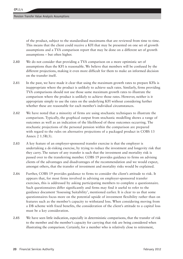of the product, subject to the standardised maximums that are reviewed from time to time. This means that the client could receive a KFI that may be presented on one set of growth assumptions and a TVA comparison report that may be done on a different set of growth assumptions – but often higher.

- **2.60** We do not consider that providing a TVA comparison on a more optimistic set of assumptions than the KFI is reasonable. We believe that members will be confused by the different projections, making it even more difficult for them to make an informed decision on the transfer itself.
- **2.61** In the past, we have made it clear that using the maximum growth rates to prepare KFIs is inappropriate where the product is unlikely to achieve such rates. Similarly, firms providing TVA comparisons should not use those same maximum growth rates to illustrate the comparison where the product is unlikely to achieve those rates. However, neither is it appropriate simply to use the rates on the underlying KFI without considering further whether these are reasonable for each member's individual circumstances.
- **2.62** We have noted that a minority of firms are using stochastic techniques to illustrate the comparison. Typically, the graphical output from stochastic modelling shows a range of outcomes as well as an indication of the likelihood of these outcomes occurring. The stochastic projections of the personal pension within the comparison are prepared with regard to the rules on alternative projections of a packaged product in COBS 13 Annex 2 1.5R(3).
- **2.63** A key feature of an employer-sponsored transfer exercise is that the employer is undertaking a de-risking exercise, by trying to reduce the investment and longevity risk that they carry. The nature of any transfer is such that the investment and mortality risk is passed over to the transferring member. COBS 19 provides guidance to firms on advising clients of the advantages and disadvantages of the recommendation and we would expect, amongst others, that the transfer of investment and mortality risks would be explained.
- **2.64** Further, COBS 19 provides guidance to firms to consider the client's attitude to risk. It appears that, for most firms involved in advising on employer-sponsored transfer exercises, this is addressed by asking participating members to complete a questionnaire. Such questionnaires differ significantly and firms may find it useful to refer to the guidance document 'Assessing Suitability', mentioned earlier. It is clear to us that some questionnaires focus more on the potential upside of investment flexibility rather than on features such as the member's capacity to withstand loss. When considering moving from a DB scheme with fixed benefits, the consideration of the client's attitude to a capital loss must be a key consideration.
- **2.65** We have seen little indication, especially in deterministic comparisons, that the transfer of risk to the member and the member's capacity for carrying that risk are being considered when illustrating the comparison. Certainly, for a member who is relatively close to retirement,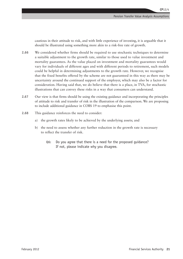cautious in their attitude to risk, and with little experience of investing, it is arguable that it should be illustrated using something more akin to a risk-free rate of growth.

- **2.66** We considered whether firms should be required to use stochastic techniques to determine a suitable adjustment to the growth rate, similar to those used to value investment and mortality guarantees. As the value placed on investment and mortality guarantees would vary for individuals of different ages and with different periods to retirement, such models could be helpful in determining adjustments to the growth rate. However, we recognise that the fixed benefits offered by the scheme are not guaranteed in this way as there may be uncertainty around the continued support of the employer, which may also be a factor for consideration. Having said that, we do believe that there is a place, in TVA, for stochastic illustrations that can convey these risks in a way that consumers can understand.
- **2.67** Our view is that firms should be using the existing guidance and incorporating the principles of attitude to risk and transfer of risk in the illustration of the comparison. We are proposing to include additional guidance in COBS 19 to emphasise this point.
- **2.68** This guidance reinforces the need to consider:
	- a) the growth rates likely to be achieved by the underlying assets; and
	- b) the need to assess whether any further reduction in the growth rate is necessary to reflect the transfer of risk.
		- **Q6:** Do you agree that there is a need for the proposed guidance? If not, please indicate why you disagree.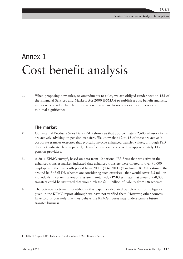### Annex 1 Cost benefit analysis

**1.** When proposing new rules, or amendments to rules, we are obliged (under section 155 of the Financial Services and Markets Act 2000 (FSMA)) to publish a cost benefit analysis, unless we consider that the proposals will give rise to no costs or to an increase of minimal significance.

#### **The market**

- **2.** Our internal Products Sales Data (PSD) shows us that approximately 2,600 advisory firms are actively advising on pension transfers. We know that 12 to 15 of these are active in corporate transfer exercises that typically involve enhanced transfer values, although PSD does not indicate these separately. Transfer business is received by approximately 115 pension providers.
- **3.** A 2011 KPMG survey<sup>1</sup>, based on data from 10 national IFA firms that are active in the enhanced transfer market, indicated that enhanced transfers were offered to over 90,000 employees in the 39-month period from 2008 Q1 to 2011 Q1 inclusive. KPMG estimate that around half of all DB schemes are considering such exercises - that would cover 2.5 million individuals. If current take-up rates are maintained, KPMG estimate that around 750,000 transfers could be instituted that would release  $£100$  billion of liability from DB schemes.
- **4.** The potential detriment identified in this paper is calculated by reference to the figures given in the KPMG report although we have not verified them. However, other sources have told us privately that they believe the KPMG figures may underestimate future transfer business.

<sup>1</sup> KPMG, August 2011: Enhanced Transfer Values, KPMG Pensions Survey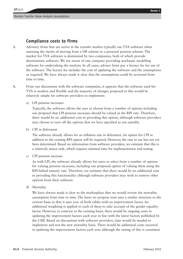#### **Compliance costs to firms**

- **5.** Advisory firms that are active in the transfer market typically use TVA software when assessing the merits of moving from a DB scheme to a personal pension scheme. The market for TVA software is dominated by two companies, both of which provide deterministic software. We are aware of one company providing stochastic modelling software for undertaking the analysis. In all cases, adviser firms pay a licence fee for use of the software. The licence fee includes the cost of updating the software and the assumptions as required. We have always made it clear that the assumptions could be reviewed from time to time.
- **6.** From our discussions with the software companies, it appears that the software used for TVA is modern and flexible and the majority of changes proposed in this would be relatively simple for software providers to implement:
	- a) LPI pension increases

Typically, the software allows the user to choose from a number of options including our proposal that LPI pension increases should be valued at the RPI rate. Therefore, there would be no additional cost to providing this option, although software providers may choose to turn off the options that we have specified as not suitable.

b) CPI in deferment

The software already allows for an inflation rate in deferment. An option for CPI in addition to the existing RPI option will be required. However, the rate to use has not yet been determined. Based on information from software providers, we estimate that this is a relatively minor task, which requires minimal time for implementation and testing.

c) CPI pension increase

As with LPI, the software already allows for users to select from a number of options for valuing pension increases, including our proposed option of valuing them using the RPI-linked annuity rate. Therefore, we estimate that there would be no additional cost to providing this functionality although software providers may wish to remove other options from their software.

d) Mortality

We have always made it clear to the marketplace that we would review the mortality assumption from time to time. The basis we propose now uses a similar structure to the current basis in that it uses year of birth tables with an improvement factor. An additional weighting is applied to each of these to take account of the gender equality factor. However, in contrast to the existing basis, there would be ongoing costs in updating the improvement factors each year in line with the latest factors published by the CMI. Based on discussions with software providers, time would be needed to implement and test the new mortality basis. There would be additional costs incurred in updating the improvement factors each year although the timing of this is consistent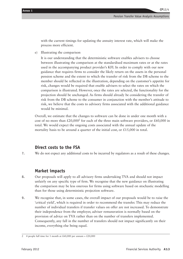**CP**12/4

with the current timings for updating the annuity interest rate, which will make the process more efficient.

e) Illustrating the comparison

It is our understanding that the deterministic software enables advisers to choose between illustrating the comparison at the standardised maximum rates or at the rates used in the accompanying product provider's KFI. In order to comply with our new guidance that requires firms to consider the likely return on the assets in the personal pension scheme and the extent to which the transfer of risk from the DB scheme to the member should be reflected in the illustration, depending on the customer's appetite for risk, changes would be required that enable advisers to select the rates on which the comparison is illustrated. However, once the rates are selected, the functionality for the projection should be unchanged. As firms should already be considering the transfer of risk from the DB scheme to the consumer in conjunction with the member's attitude to risk, we believe that the costs to advisory firms associated with the additional guidance would be minimal.

Overall, we estimate that the changes to software can be done in under one month with a cost of no more than  $\text{\pounds}20,000^2$  for each of the three main software providers, or  $\text{\pounds}60,000$  in total. We would expect the ongoing costs associated with the annual update of the mortality basis to be around a quarter of the initial cost, or  $\text{\pounds}15,000$  in total.

#### **Direct costs to the FSA**

**7.** We do not expect any additional costs to be incurred by regulators as a result of these changes.

#### **Market impacts**

- **8.** Our proposals will apply to all advisory firms undertaking TVA and should not impact unfairly on any specific type of firm. We recognise that the new guidance on illustrating the comparison may be less onerous for firms using software based on stochastic modelling than for those using deterministic projection software.
- **9.** We recognise that, in some cases, the overall impact of our proposals would be to raise the 'critical yield', which is required in order to recommend the transfer. This may reduce the number of individual transfers if transfer values on offer are not increased. To demonstrate their independence from the employer, adviser remuneration is normally based on the provision of advice on TVA rather than on the number of transfers implemented. Consequently, any fall in the number of transfers should not impact significantly on their income, everything else being equal.

<sup>2 4</sup> people full time for 1 month at  $£60,000$  per annum =  $£20,000$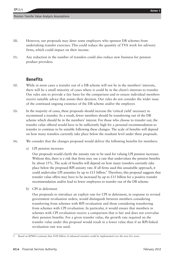- **10.** However, our proposals may deter some employers who sponsor DB schemes from undertaking transfer exercises. This could reduce the quantity of TVA work for advisory firms, which could impact on their income.
- **11.** Any reduction in the number of transfers could also reduce new business for pension product providers.

#### **Benefits**

- **12.** While in most cases a transfer out of a DB scheme will not be in the members' interests, there will be a small minority of cases where it could be in the client's interests to transfer. Our rules aim to provide a fair basis for the comparison and to ensure individual members receive suitable advice that assists their decision. Our rules do not consider the wider issue of the continued ongoing existence of the DB scheme and/or the employer.
- **13.** In the majority of cases, these proposals should increase the 'critical yield' necessary to recommend a transfer. As a result, fewer members should be transferring out of the DB scheme which should be in the members' interest. For those who choose to transfer out, the transfer value offered would have to be sufficiently high for a personal recommendation to transfer to continue to be suitable following these changes. The scale of benefits will depend on how many transfers currently take place below the resultant level under these proposals.
- **14.** We consider that the changes proposed would deliver the following benefits for members:
	- a) LPI pension increases

Our proposals would clarify the annuity rate to be used for valuing LPI pension increases. Without this, there is a risk that firms may use a rate that undervalues the pension benefits by about 15%. The scale of benefits will depend on how many transfers currently take place below the proposed RPI annuity rate. If all firms used this unsuitable approach, it could undervalue LPI annuities by up to £15 billion.<sup>3</sup> Therefore, this proposal suggests that transfer value offers may have to be increased by up to £15 billion for a positive transfer recommendation and/or lead to fewer employees to transfer out of the DB scheme.

b) CPI in deferment

Our proposals to introduce an explicit rate for CPI in deferment, in response to revised government revaluation orders, would distinguish between members considering transferring from schemes with RPI revaluation and those considering transferring from schemes with CPI revaluation. In particular, it would ensure that members in schemes with CPI revaluation receive a comparison that is fair and does not overvalue their pension benefits. For a given transfer value, the growth rate required on the transfer value under this proposal would result in a lower value than if an RPI-linked revaluation rate was used.

<sup>3</sup> Based on KPMG's estimate that £100 billion of enhanced transfers could be implemented over the next five years.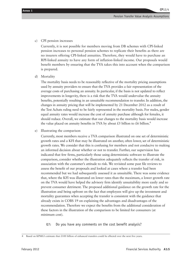c) CPI pension increases

Currently, it is not possible for members moving from DB schemes with CPI-linked pension increases to personal pension schemes to replicate their benefits as there are no insurers offering CPI-linked annuities. Therefore, they would have to purchase an RPI-linked annuity to have any form of inflation-linked income. Our proposals would benefit members by ensuring that the TVA takes this into account when the comparison is prepared.

d) Mortality

The mortality basis needs to be reasonably reflective of the mortality pricing assumptions used by annuity providers to ensure that the TVA provides a fair representation of the average costs of purchasing an annuity. In particular, if the basis is not updated to reflect improvements in longevity, there is a risk that the TVA would undervalue the annuity benefits, potentially resulting in an unsuitable recommendation to transfer. In addition, the changes in annuity pricing that will be implemented by 21 December 2012 as a result of the Test Achats ruling need to be fairly represented in the mortality basis. For males, gender equal annuity rates would increase the cost of annuity purchase although for females, it should reduce. Overall, we estimate that our changes to the mortality basis would increase the value placed on annuity benefits in TVA by about £5 billion to £6 billion.<sup>4</sup>

e) Illustrating the comparison

Currently, most members receive a TVA comparison illustrated on one set of deterministic growth rates and a KFI that may be illustrated on another, often lower, set of deterministic growth rates. We consider that this is confusing for members and not conducive to making an informed decision about whether or not to transfer. Further, our supervision has indicated that few firms, particularly those using deterministic software to illustrate the comparison, consider whether the illustration adequately reflects the transfer of risk, in association with the customer's attitude to risk. We revisited some past file reviews to assess the benefit of our proposals and looked at cases where a transfer had been recommended but we had subsequently assessed it as unsuitable. There was some evidence that, where the KFI was illustrated on lower rates than the maximum, a lower growth rate on the TVA would have helped the advisory firm identify unsuitability more easily and so prevent consumer detriment. The proposed additional guidance on the growth rate for the illustration and being upfront on the fact that employees will give up the investment and mortality guarantees when accepting the transfer is consistent with the guidance that already exists in COBS 19 on explaining the advantages and disadvantages of the recommendation. Therefore we expect the benefits from the additional consideration of these factors in the illustration of the comparison to be limited for consumers (at minimum cost).

**Q7:** Do you have any comments on the cost benefit analysis?

<sup>4</sup> Based on KPMG's estimate that £100 billion of enhanced transfers could be effected over the next five years.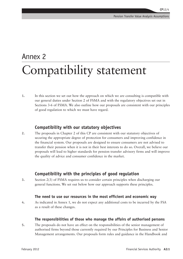## Annex 2 Compatibility statement

**1.** In this section we set out how the approach on which we are consulting is compatible with our general duties under Section 2 of FSMA and with the regulatory objectives set out in Sections 3-6 of FSMA. We also outline how our proposals are consistent with our principles of good regulation to which we must have regard.

#### **Compatibility with our statutory objectives**

**2.** The proposals in Chapter 2 of this CP are consistent with our statutory objectives of securing the appropriate degree of protection for consumers and improving confidence in the financial system. Our proposals are designed to ensure consumers are not advised to transfer their pension when it is not in their best interests to do so. Overall, we believe our proposals will lead to higher standards for pension transfer advisory firms and will improve the quality of advice and consumer confidence in the market.

#### **Compatibility with the principles of good regulation**

**3.** Section 2(3) of FSMA requires us to consider certain principles when discharging our general functions. We set out below how our approach supports these principles.

#### **The need to use our resources in the most efficient and economic way**

**4.** As indicated in Annex 1, we do not expect any additional costs to be incurred by the FSA as a result of these changes.

#### **The responsibilities of those who manage the affairs of authorised persons**

**5.** The proposals do not have an effect on the responsibilities of the senior management of authorised firms beyond those currently required by our Principles for Business and Senior Management arrangements. Our proposals form rules and guidance in the Handbook and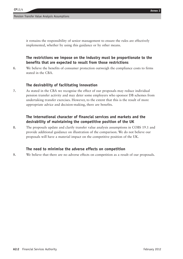it remains the responsibility of senior management to ensure the rules are effectively implemented, whether by using this guidance or by other means.

#### **The restrictions we impose on the industry must be proportionate to the benefits that are expected to result from those restrictions**

**6.** We believe the benefits of consumer protection outweigh the compliance costs to firms stated in the CBA.

#### **The desirability of facilitating innovation**

**7.** As stated in the CBA we recognise the effect of our proposals may reduce individual pension transfer activity and may deter some employers who sponsor DB schemes from undertaking transfer exercises. However, to the extent that this is the result of more appropriate advice and decision-making, there are benefits.

#### **The international character of financial services and markets and the desirability of maintaining the competitive position of the UK**

**8.** The proposals update and clarify transfer value analysis assumptions in COBS 19.1 and provide additional guidance on illustration of the comparison. We do not believe our proposals will have a material impact on the competitive position of the UK.

#### **The need to minimise the adverse effects on competition**

**9.** We believe that there are no adverse effects on competition as a result of our proposals.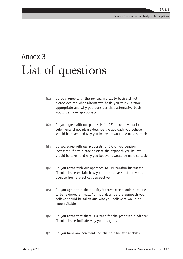### Annex 3 List of questions

- **Q1:** Do you agree with the revised mortality basis? If not, please explain what alternative basis you think is more appropriate and why you consider that alternative basis would be more appropriate.
- **Q2:** Do you agree with our proposals for CPI-linked revaluation in deferment? If not please describe the approach you believe should be taken and why you believe it would be more suitable.
- **Q3:** Do you agree with our proposals for CPI-linked pension increases? If not, please describe the approach you believe should be taken and why you believe it would be more suitable.
- **Q4:** Do you agree with our approach to LPI pension increases? If not, please explain how your alternative solution would operate from a practical perspective.
- **Q5:** Do you agree that the annuity interest rate should continue to be reviewed annually? If not, describe the approach you believe should be taken and why you believe it would be more suitable.
- **Q6:** Do you agree that there is a need for the proposed guidance? If not, please indicate why you disagree.
- **Q7:** Do you have any comments on the cost benefit analysis?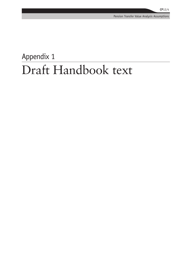## Appendix 1 Draft Handbook text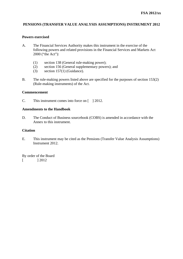#### **PENSIONS (TRANSFER VALUE ANALYSIS ASSUMPTIONS) INSTRUMENT 2012**

#### **Powers exercised**

- A. The Financial Services Authority makes this instrument in the exercise of the following powers and related provisions in the Financial Services and Markets Act 2000 ("the Act"):
	- (1) section 138 (General rule-making power);
	- (2) section 156 (General supplementary powers); and
	- (3) section 157(1) (Guidance).
- B. The rule-making powers listed above are specified for the purposes of section 153(2) (Rule-making instruments) of the Act.

#### **Commencement**

C. This instrument comes into force on [ ] 2012.

#### **Amendments to the Handbook**

D. The Conduct of Business sourcebook (COBS) is amended in accordance with the Annex to this instrument.

#### **Citation**

E. This instrument may be cited as the Pensions (Transfer Value Analysis Assumptions) Instrument 2012.

By order of the Board  $[$  1 2012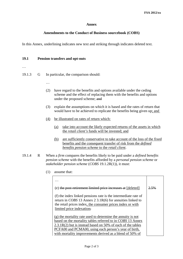#### **Annex**

#### **Amendments to the Conduct of Business sourcebook (COBS)**

In this Annex, underlining indicates new text and striking through indicates deleted text.

#### **19.1 Pension transfers and opt-outs**

…

19.1.3 G In particular, the comparison should:

- …
- (2) have regard to the benefits and options available under the ceding scheme and the effect of replacing them with the benefits and options under the proposed scheme; and
- (3) explain the assumptions on which it is based and the rates of return that would have to be achieved to replicate the benefits being given up; and
- (4) be illustrated on rates of return which:
	- (a) take into account the likely expected returns of the assets in which the *retail client's* funds will be invested; and
	- (b) are sufficiently conservative to take account of the loss of the fixed benefits and the consequent transfer of risk from the *defined benefits pension scheme* to the *retail client*.
- 19.1.4 R When a *firm* compares the benefits likely to be paid under a *defined benefits pension scheme* with the benefits afforded by a *personal pension scheme* or *stakeholder pension scheme* (*COBS* 19.1.2R(1)), it must:
	- (1) assume that:

| (e) the post-retirement limited price increases at [deleted]                                                                                                                                                                                                                                                      | 2.5% |
|-------------------------------------------------------------------------------------------------------------------------------------------------------------------------------------------------------------------------------------------------------------------------------------------------------------------|------|
| (f) the index linked pensions rate is the intermediate rate of<br>return in COBS 13 Annex 2 3.1R(6) for annuities linked to<br>the retail prices index, the consumer prices index or with<br>limited price indexation;                                                                                            |      |
| $(g)$ the mortality rate used to determine the annuity is not<br>based on the mortality tables referred to in COBS 13 Annex<br>$2.3.1R(2)$ but is instead based on 50% of each of the tables<br>PCFA00 and PCMA00, using each person's year of birth,<br>with mortality improvements derived as a blend of 50% of |      |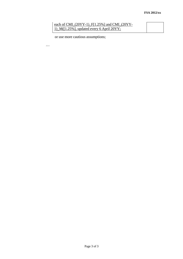#### each of CMI\_(20YY-1)\_F[1.25%] and CMI\_(20YY-1)\_M([1.25%], updated every 6 April 20YY;

or use more cautious assumptions;

…